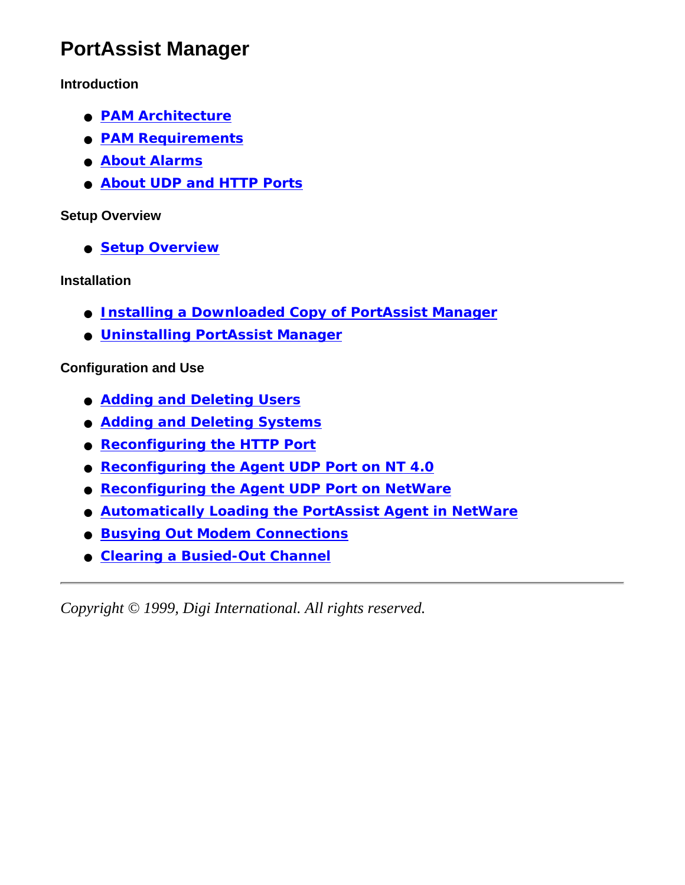## **PortAssist Manager**

#### **Introduction**

- **[PAM Architecture](#page-1-0)**
- **[PAM Requirements](#page-3-0)**
- **[About Alarms](#page-4-0)**
- **[About UDP and HTTP Ports](#page-5-0)**

#### **Setup Overview**

● **[Setup Overview](#page-6-0)**

#### **Installation**

- **[Installing a Downloaded Copy of PortAssist Manager](#page-7-0)**
- **[Uninstalling PortAssist Manager](#page-8-0)**

#### **Configuration and Use**

- **[Adding and Deleting Users](#page-9-0)**
- **[Adding and Deleting Systems](#page-10-0)**
- **[Reconfiguring the HTTP Port](#page-11-0)**
- **[Reconfiguring the Agent UDP Port on NT 4.0](#page-12-0)**
- **[Reconfiguring the Agent UDP Port on NetWare](#page-13-0)**
- **[Automatically Loading the PortAssist Agent in NetWare](#page-14-0)**
- **[Busying Out Modem Connections](#page-15-0)**
- **[Clearing a Busied-Out Channel](#page-16-0)**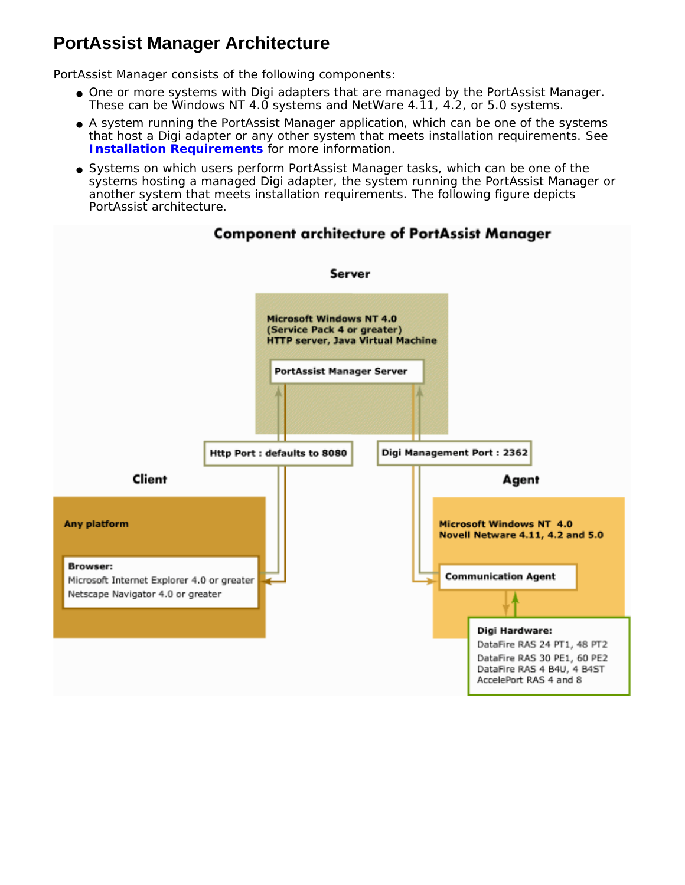### <span id="page-1-0"></span>**PortAssist Manager Architecture**

PortAssist Manager consists of the following components:

- One or more systems with Digi adapters that are managed by the PortAssist Manager. These can be Windows NT 4.0 systems and NetWare 4.11, 4.2, or 5.0 systems.
- A system running the PortAssist Manager application, which can be one of the systems that host a Digi adapter or any other system that meets installation requirements. See **[Installation Requirements](#page-3-0)** for more information.
- Systems on which users perform PortAssist Manager tasks, which can be one of the systems hosting a managed Digi adapter, the system running the PortAssist Manager or another system that meets installation requirements. The following figure depicts PortAssist architecture.



#### **Component architecture of PortAssist Manager**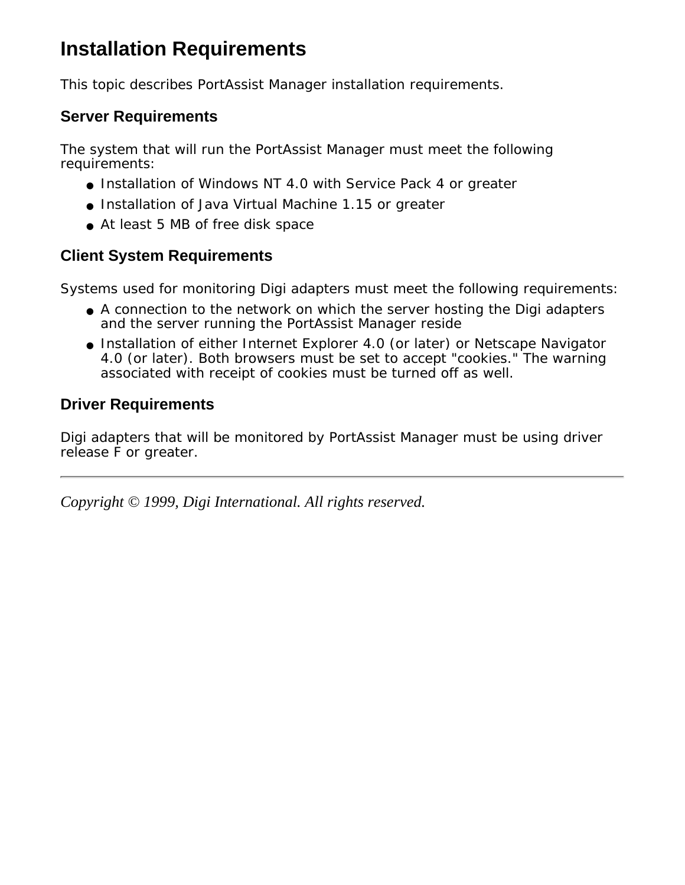# <span id="page-3-0"></span>**Installation Requirements**

This topic describes PortAssist Manager installation requirements.

### **Server Requirements**

The system that will run the PortAssist Manager must meet the following requirements:

- Installation of Windows NT 4.0 with Service Pack 4 or greater
- Installation of Java Virtual Machine 1.15 or greater
- At least 5 MB of free disk space

### **Client System Requirements**

Systems used for monitoring Digi adapters must meet the following requirements:

- A connection to the network on which the server hosting the Digi adapters and the server running the PortAssist Manager reside
- Installation of either Internet Explorer 4.0 (or later) or Netscape Navigator 4.0 (or later). Both browsers must be set to accept "cookies." The warning associated with receipt of cookies must be turned off as well.

### **Driver Requirements**

Digi adapters that will be monitored by PortAssist Manager must be using driver release F or greater.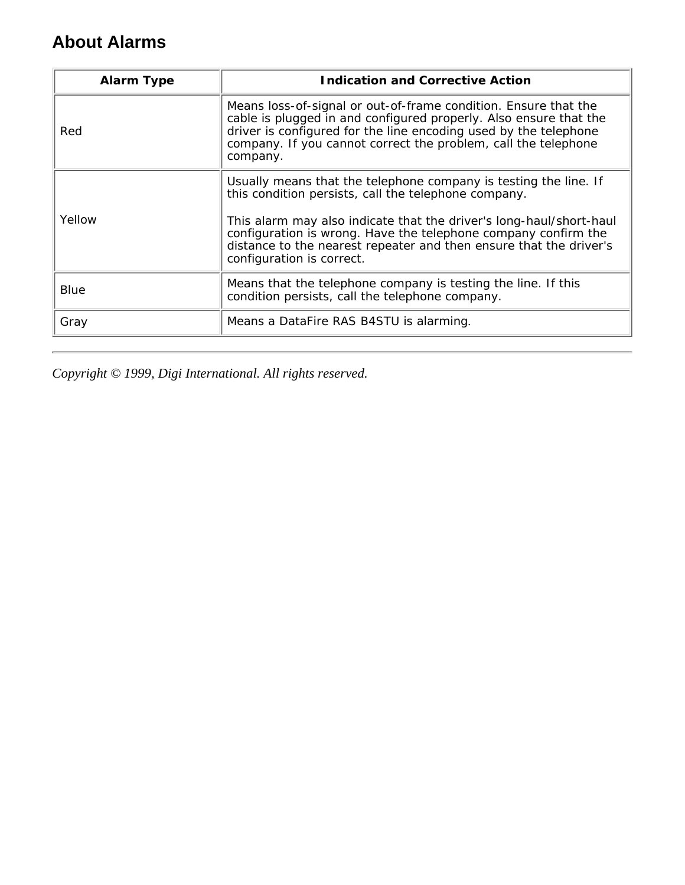### <span id="page-4-0"></span>**About Alarms**

| <b>Alarm Type</b> | <b>Indication and Corrective Action</b>                                                                                                                                                                                                                                                                                                                              |
|-------------------|----------------------------------------------------------------------------------------------------------------------------------------------------------------------------------------------------------------------------------------------------------------------------------------------------------------------------------------------------------------------|
| Red               | Means loss-of-signal or out-of-frame condition. Ensure that the<br>cable is plugged in and configured properly. Also ensure that the<br>driver is configured for the line encoding used by the telephone<br>company. If you cannot correct the problem, call the telephone<br>company.                                                                               |
| Yellow            | Usually means that the telephone company is testing the line. If<br>this condition persists, call the telephone company.<br>This alarm may also indicate that the driver's long-haul/short-haul<br>configuration is wrong. Have the telephone company confirm the<br>distance to the nearest repeater and then ensure that the driver's<br>configuration is correct. |
| Blue              | Means that the telephone company is testing the line. If this<br>condition persists, call the telephone company.                                                                                                                                                                                                                                                     |
| Gray              | Means a DataFire RAS B4STU is alarming.                                                                                                                                                                                                                                                                                                                              |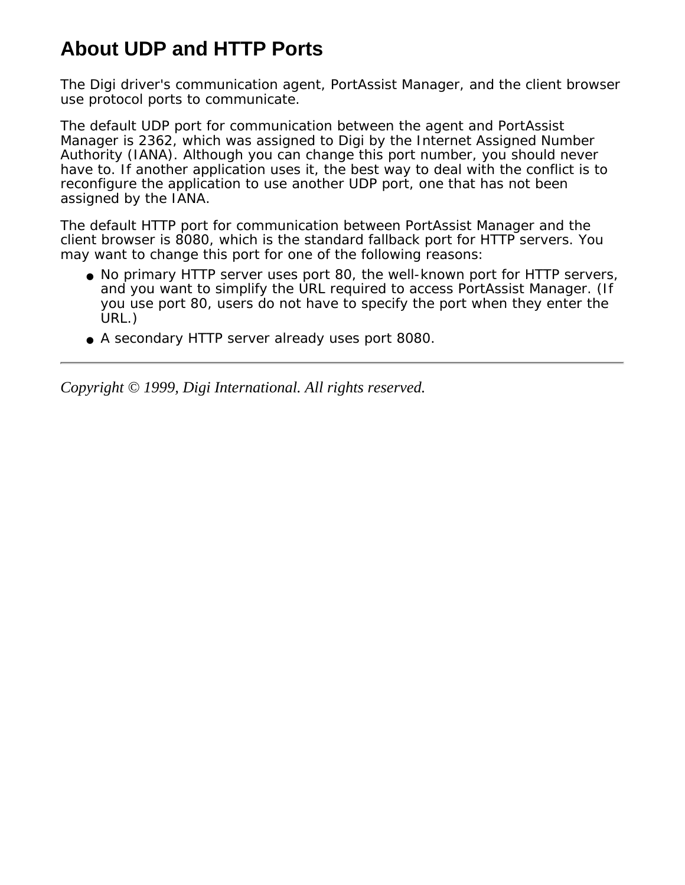# <span id="page-5-0"></span>**About UDP and HTTP Ports**

The Digi driver's communication agent, PortAssist Manager, and the client browser use protocol ports to communicate.

The default UDP port for communication between the agent and PortAssist Manager is 2362, which was assigned to Digi by the Internet Assigned Number Authority (IANA). Although you can change this port number, you should never have to. If another application uses it, the best way to deal with the conflict is to reconfigure the application to use another UDP port, one that has not been assigned by the IANA.

The default HTTP port for communication between PortAssist Manager and the client browser is 8080, which is the standard fallback port for HTTP servers. You may want to change this port for one of the following reasons:

- No primary HTTP server uses port 80, the well-known port for HTTP servers, and you want to simplify the URL required to access PortAssist Manager. (If you use port 80, users do not have to specify the port when they enter the URL.)
- A secondary HTTP server already uses port 8080.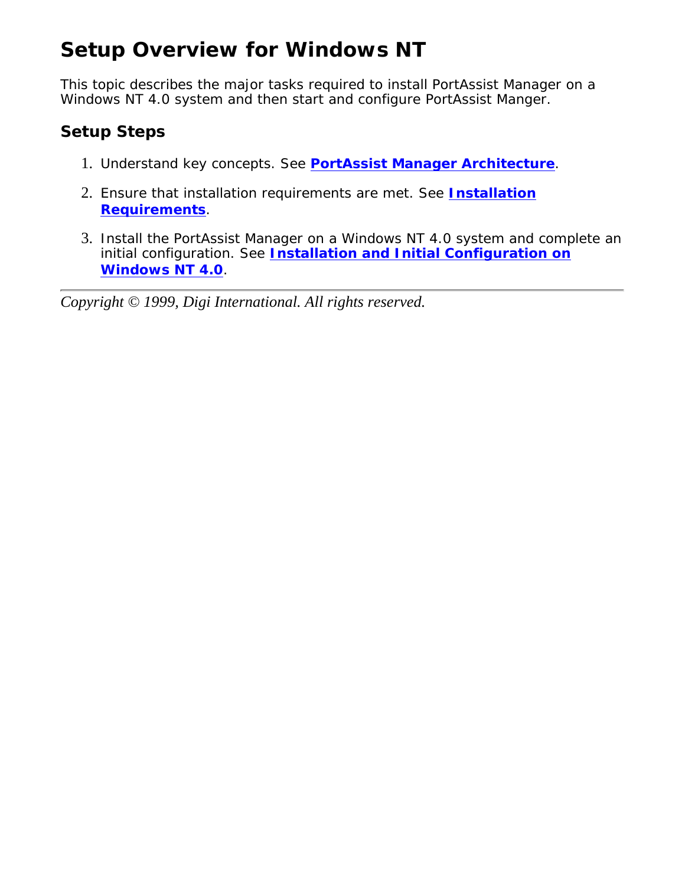# <span id="page-6-0"></span>**Setup Overview for Windows NT**

This topic describes the major tasks required to install PortAssist Manager on a Windows NT 4.0 system and then start and configure PortAssist Manger.

### **Setup Steps**

- 1. Understand key concepts. See **[PortAssist Manager Architecture](#page-1-0)**.
- Ensure that installation requirements are met. See **[Installation](#page-3-0)** 2. **[Requirements](#page-3-0)**.
- 3. Install the PortAssist Manager on a Windows NT 4.0 system and complete an initial configuration. See **[Installation and Initial Configuration on](#page-7-0) [Windows NT 4.0](#page-7-0)**.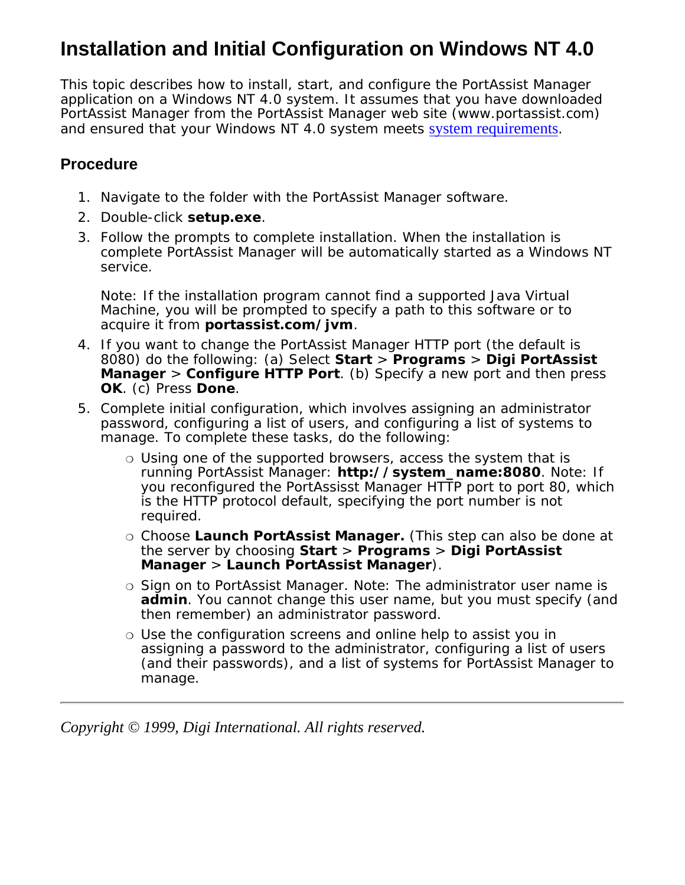## <span id="page-7-0"></span>**Installation and Initial Configuration on Windows NT 4.0**

This topic describes how to install, start, and configure the PortAssist Manager application on a Windows NT 4.0 system. It assumes that you have downloaded PortAssist Manager from the PortAssist Manager web site (www.portassist.com) and ensured that your Windows NT 4.0 system meets [system requirements](#page-3-0).

### **Procedure**

- 1. Navigate to the folder with the PortAssist Manager software.
- 2. Double-click **setup.exe**.
- Follow the prompts to complete installation. When the installation is 3. complete PortAssist Manager will be automatically started as a Windows NT service.

Note: If the installation program cannot find a supported Java Virtual Machine, you will be prompted to specify a path to this software or to acquire it from **portassist.com/jvm**.

- 4. If you want to change the PortAssist Manager HTTP port (the default is 8080) do the following: (a) Select **Start** > **Programs** > **Digi PortAssist Manager** > **Configure HTTP Port**. (b) Specify a new port and then press **OK**. (c) Press **Done**.
- 5. Complete initial configuration, which involves assigning an administrator password, configuring a list of users, and configuring a list of systems to manage. To complete these tasks, do the following:
	- Using one of the supported browsers, access the system that is ❍ running PortAssist Manager: **http://system\_name:8080**. Note: If you reconfigured the PortAssisst Manager HTTP port to port 80, which is the HTTP protocol default, specifying the port number is not required.
	- Choose **Launch PortAssist Manager.** (This step can also be done at ❍ the server by choosing **Start** > **Programs** > **Digi PortAssist Manager** > **Launch PortAssist Manager**).
	- o Sign on to PortAssist Manager. Note: The administrator user name is **admin**. You cannot change this user name, but you must specify (and then remember) an administrator password.
	- $\circ$  Use the configuration screens and online help to assist you in assigning a password to the administrator, configuring a list of users (and their passwords), and a list of systems for PortAssist Manager to manage.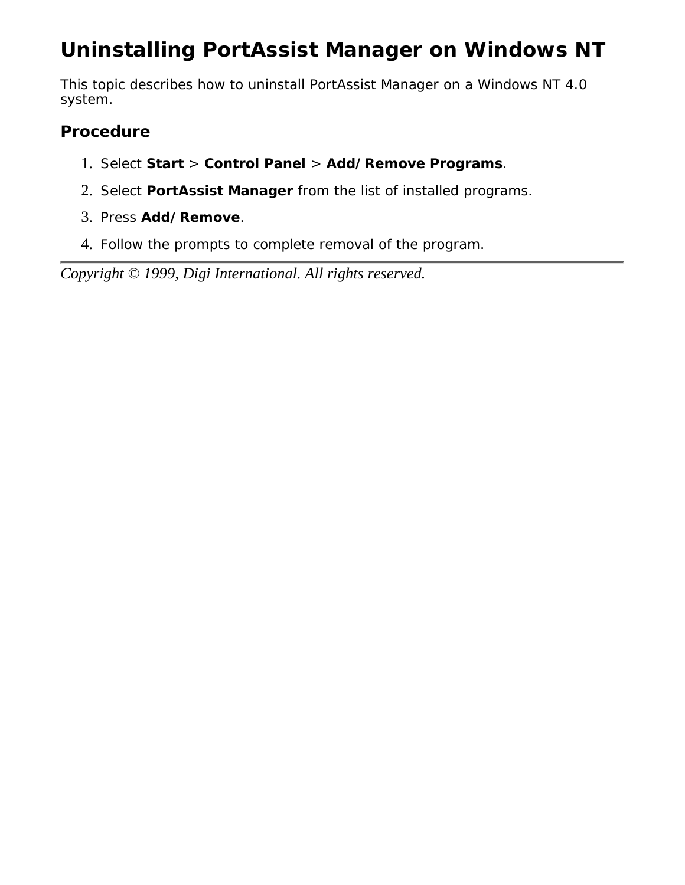# <span id="page-8-0"></span>**Uninstalling PortAssist Manager on Windows NT**

This topic describes how to uninstall PortAssist Manager on a Windows NT 4.0 system.

### **Procedure**

- 1. Select **Start** > **Control Panel** > **Add/Remove Programs**.
- 2. Select **PortAssist Manager** from the list of installed programs.
- 3. Press **Add/Remove**.
- 4. Follow the prompts to complete removal of the program.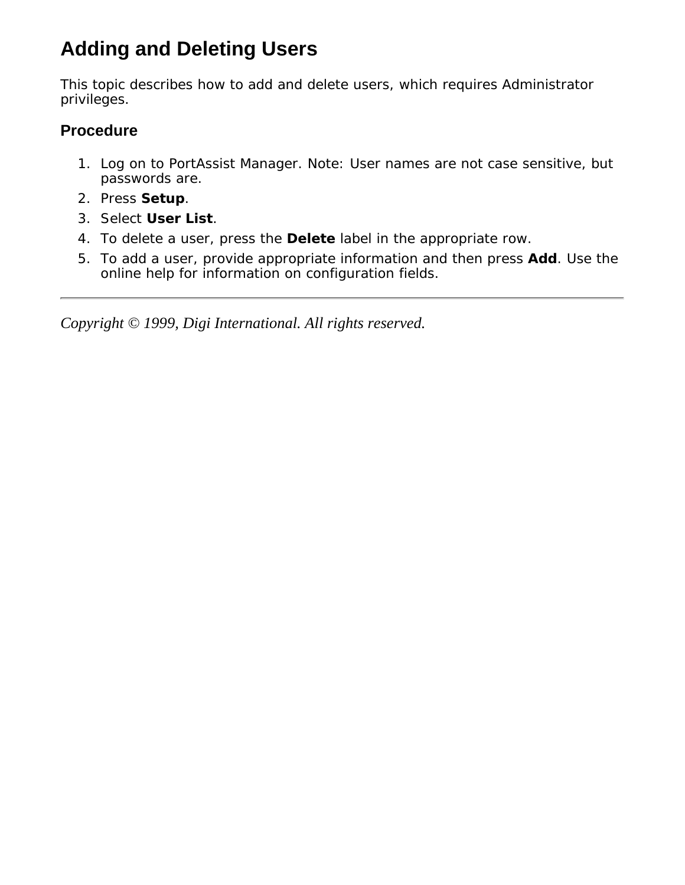# <span id="page-9-0"></span>**Adding and Deleting Users**

This topic describes how to add and delete users, which requires Administrator privileges.

### **Procedure**

- 1. Log on to PortAssist Manager. Note: User names are not case sensitive, but passwords are.
- 2. Press **Setup**.
- 3. Select **User List**.
- 4. To delete a user, press the **Delete** label in the appropriate row.
- 5. To add a user, provide appropriate information and then press **Add**. Use the online help for information on configuration fields.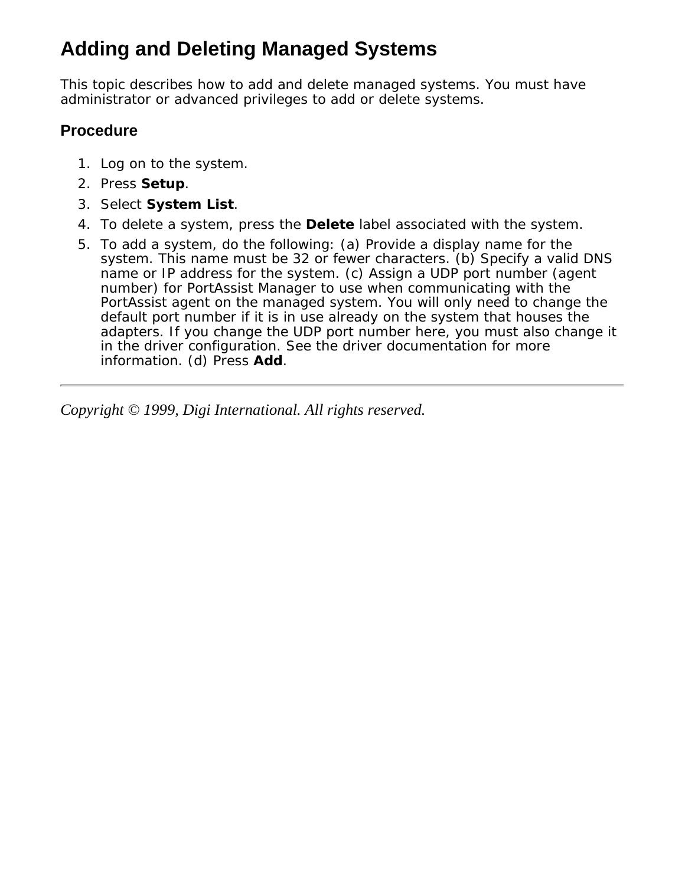# <span id="page-10-0"></span>**Adding and Deleting Managed Systems**

This topic describes how to add and delete managed systems. You must have administrator or advanced privileges to add or delete systems.

### **Procedure**

- 1. Log on to the system.
- 2. Press **Setup**.
- 3. Select **System List**.
- 4. To delete a system, press the **Delete** label associated with the system.
- To add a system, do the following: (a) Provide a display name for the 5. system. This name must be 32 or fewer characters. (b) Specify a valid DNS name or IP address for the system. (c) Assign a UDP port number (agent number) for PortAssist Manager to use when communicating with the PortAssist agent on the managed system. You will only need to change the default port number if it is in use already on the system that houses the adapters. If you change the UDP port number here, you must also change it in the driver configuration. See the driver documentation for more information. (d) Press **Add**.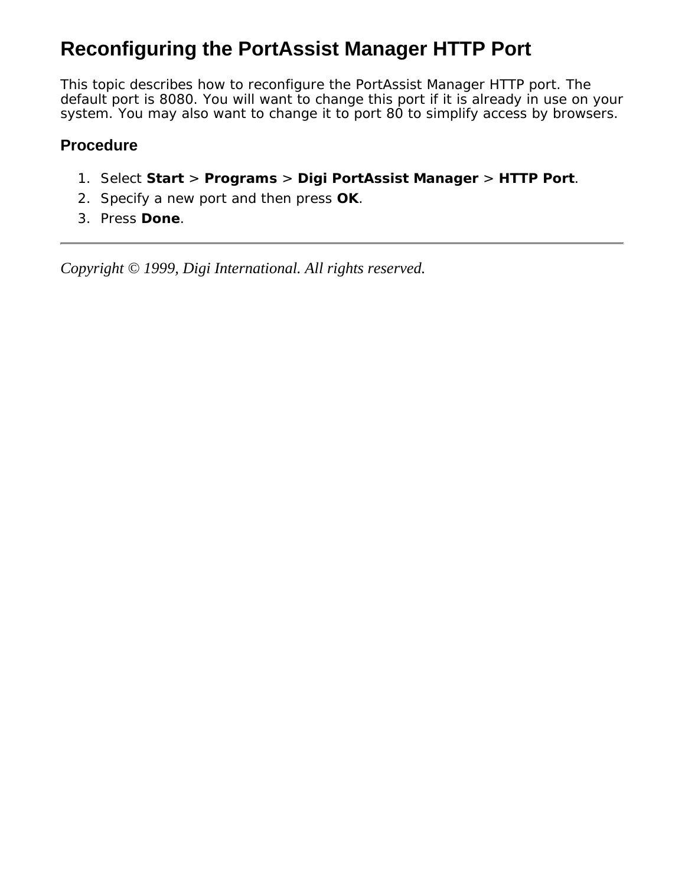# <span id="page-11-0"></span>**Reconfiguring the PortAssist Manager HTTP Port**

This topic describes how to reconfigure the PortAssist Manager HTTP port. The default port is 8080. You will want to change this port if it is already in use on your system. You may also want to change it to port 80 to simplify access by browsers.

#### **Procedure**

- 1. Select **Start** > **Programs** > **Digi PortAssist Manager** > **HTTP Port**.
- 2. Specify a new port and then press **OK**.
- 3. Press **Done**.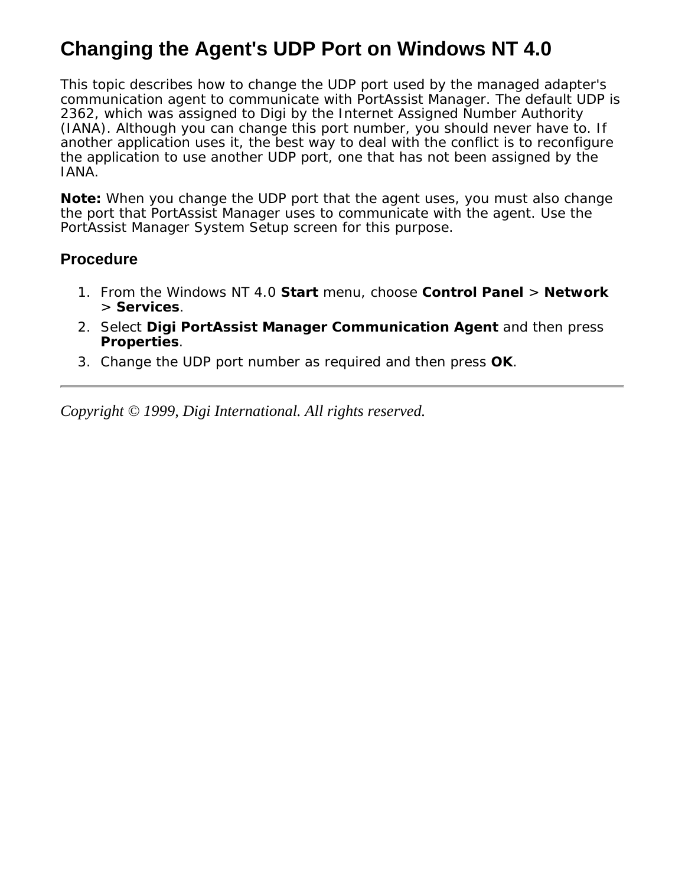## <span id="page-12-0"></span>**Changing the Agent's UDP Port on Windows NT 4.0**

This topic describes how to change the UDP port used by the managed adapter's communication agent to communicate with PortAssist Manager. The default UDP is 2362, which was assigned to Digi by the Internet Assigned Number Authority (IANA). Although you can change this port number, you should never have to. If another application uses it, the best way to deal with the conflict is to reconfigure the application to use another UDP port, one that has not been assigned by the IANA.

**Note:** When you change the UDP port that the agent uses, you must also change the port that PortAssist Manager uses to communicate with the agent. Use the PortAssist Manager System Setup screen for this purpose.

#### **Procedure**

- From the Windows NT 4.0 **Start** menu, choose **Control Panel** > **Network** 1. > **Services**.
- 2. Select Digi PortAssist Manager Communication Agent and then press **Properties**.
- 3. Change the UDP port number as required and then press **OK**.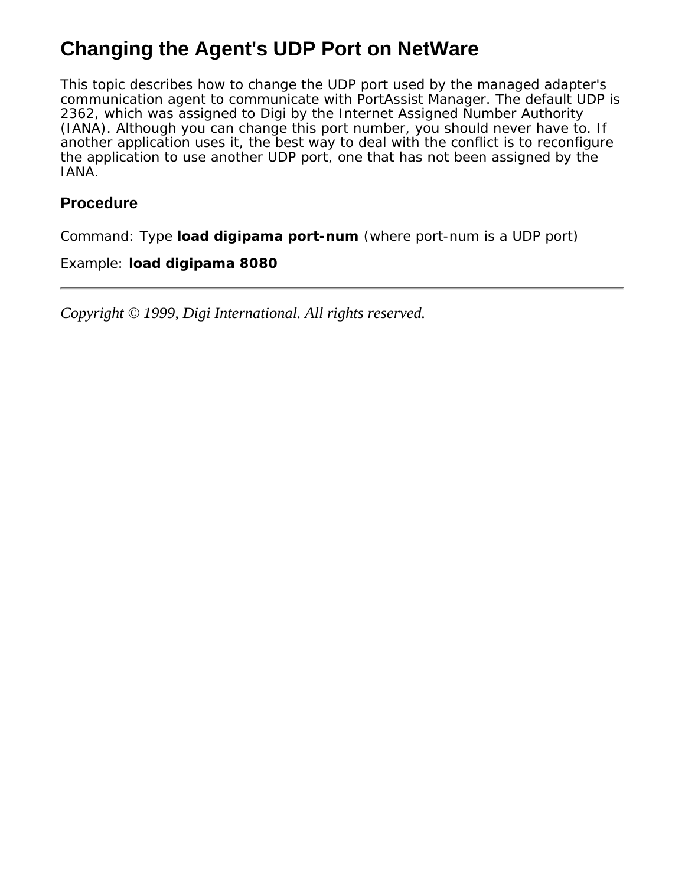# <span id="page-13-0"></span>**Changing the Agent's UDP Port on NetWare**

This topic describes how to change the UDP port used by the managed adapter's communication agent to communicate with PortAssist Manager. The default UDP is 2362, which was assigned to Digi by the Internet Assigned Number Authority (IANA). Although you can change this port number, you should never have to. If another application uses it, the best way to deal with the conflict is to reconfigure the application to use another UDP port, one that has not been assigned by the IANA.

#### **Procedure**

Command: Type **load digipama** *port-num* (where port-num is a UDP port)

#### Example: **load digipama 8080**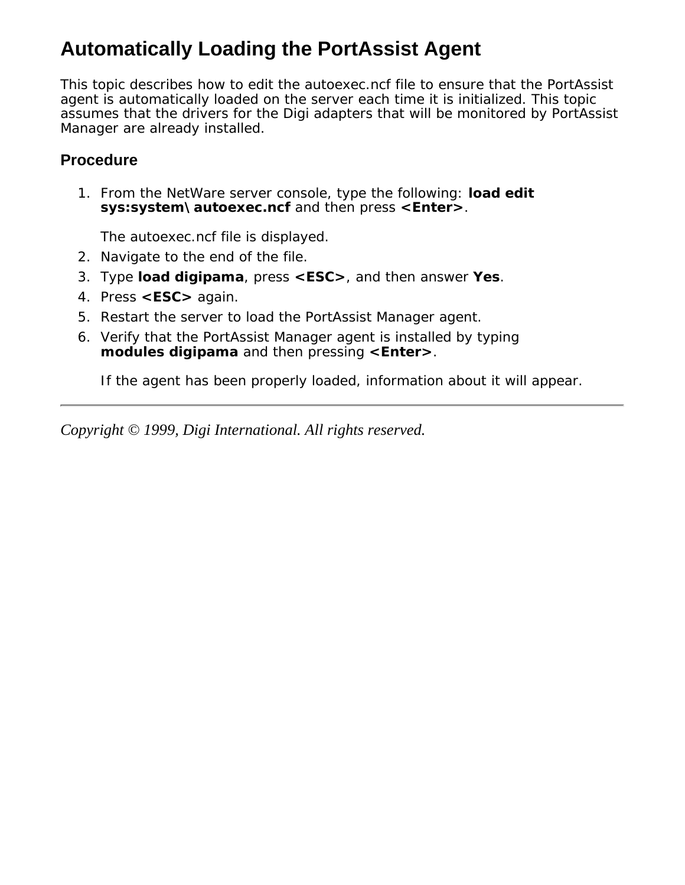# <span id="page-14-0"></span>**Automatically Loading the PortAssist Agent**

This topic describes how to edit the autoexec.ncf file to ensure that the PortAssist agent is automatically loaded on the server each time it is initialized. This topic assumes that the drivers for the Digi adapters that will be monitored by PortAssist Manager are already installed.

### **Procedure**

1. From the NetWare server console, type the following: **load edit sys:system\autoexec.ncf** and then press **<Enter>**.

The autoexec.ncf file is displayed.

- 2. Navigate to the end of the file.
- 3. Type **load digipama**, press **<ESC>**, and then answer **Yes**.
- 4. Press **<ESC>** again.
- 5. Restart the server to load the PortAssist Manager agent.
- 6. Verify that the PortAssist Manager agent is installed by typing **modules digipama** and then pressing **<Enter>**.

If the agent has been properly loaded, information about it will appear.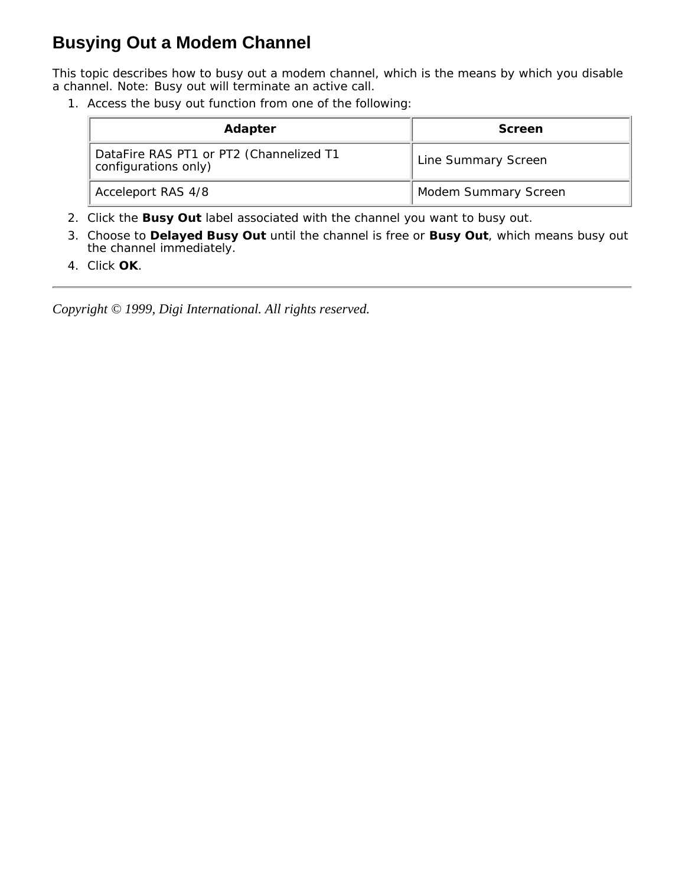### <span id="page-15-0"></span>**Busying Out a Modem Channel**

This topic describes how to busy out a modem channel, which is the means by which you disable a channel. Note: Busy out will terminate an active call.

Access the busy out function from one of the following: 1.

| <b>Adapter</b>                                                  | Screen                      |
|-----------------------------------------------------------------|-----------------------------|
| DataFire RAS PT1 or PT2 (Channelized T1<br>configurations only) | <b>Line Summary Screen</b>  |
| Acceleport RAS 4/8                                              | <b>Modem Summary Screen</b> |

- 2. Click the **Busy Out** label associated with the channel you want to busy out.
- Choose to **Delayed Busy Out** until the channel is free or **Busy Out**, which means busy out 3. the channel immediately.
- 4. Click **OK**.